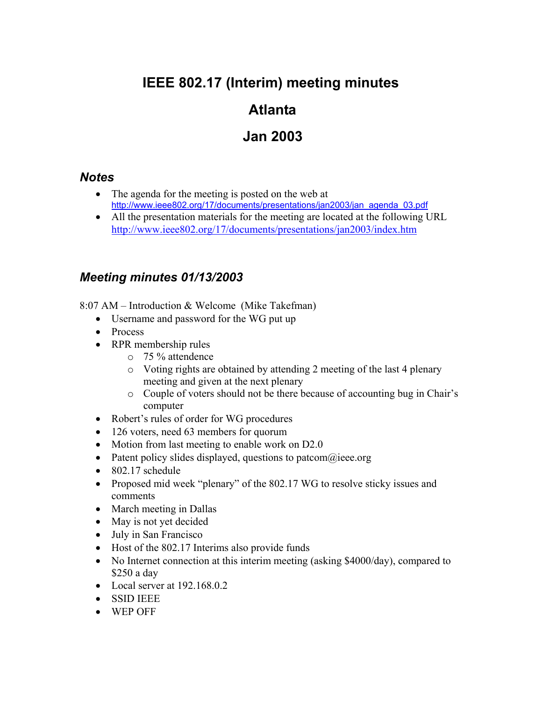# **IEEE 802.17 (Interim) meeting minutes**

## **Atlanta**

## **Jan 2003**

#### *Notes*

- The agenda for the meeting is posted on the web at http://www.ieee802.org/17/documents/presentations/jan2003/jan\_agenda\_03.pdf
- All the presentation materials for the meeting are located at the following URL http://www.ieee802.org/17/documents/presentations/jan2003/index.htm

### *Meeting minutes 01/13/2003*

 $8:07$  AM – Introduction & Welcome (Mike Takefman)

- Username and password for the WG put up
- Process
- RPR membership rules
	- o 75 % attendence
	- o Voting rights are obtained by attending 2 meeting of the last 4 plenary meeting and given at the next plenary
	- o Couple of voters should not be there because of accounting bug in Chairís computer
- Robert's rules of order for WG procedures
- 126 voters, need 63 members for quorum
- Motion from last meeting to enable work on D2.0
- Patent policy slides displayed, questions to patcom $\omega$ ieee.org
- 802.17 schedule
- Proposed mid week "plenary" of the 802.17 WG to resolve sticky issues and comments
- March meeting in Dallas
- May is not yet decided
- July in San Francisco
- Host of the 802.17 Interims also provide funds
- No Internet connection at this interim meeting (asking \$4000/day), compared to \$250 a day
- Local server at 192.168.0.2
- SSID IEEE
- WEP OFF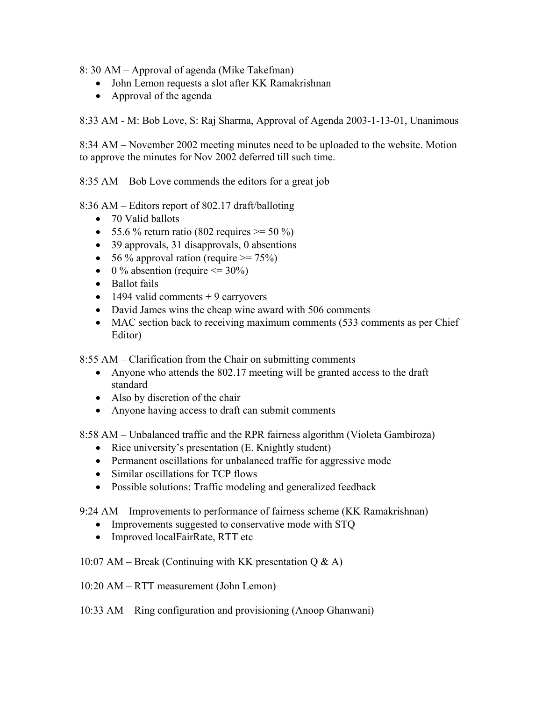8: 30 AM – Approval of agenda (Mike Takefman)

- John Lemon requests a slot after KK Ramakrishnan
- Approval of the agenda

8:33 AM - M: Bob Love, S: Raj Sharma, Approval of Agenda 2003-1-13-01, Unanimous

8:34 AM – November 2002 meeting minutes need to be uploaded to the website. Motion to approve the minutes for Nov 2002 deferred till such time.

8:35 AM  $-$  Bob Love commends the editors for a great job

8:36 AM – Editors report of 802.17 draft/balloting

- 70 Valid ballots
- 55.6 % return ratio (802 requires  $> = 50\%$ )
- 39 approvals, 31 disapprovals, 0 absentions
- 56 % approval ration (require  $\ge$  = 75%)
- 0 % absention (require  $\leq$  30%)
- Ballot fails
- $\bullet$  1494 valid comments + 9 carryovers
- David James wins the cheap wine award with 506 comments
- MAC section back to receiving maximum comments (533 comments as per Chief Editor)

8:55 AM – Clarification from the Chair on submitting comments

- Anyone who attends the 802.17 meeting will be granted access to the draft standard
- Also by discretion of the chair
- Anyone having access to draft can submit comments

8:58 AM – Unbalanced traffic and the RPR fairness algorithm (Violeta Gambiroza)

- Rice university's presentation (E. Knightly student)
- Permanent oscillations for unbalanced traffic for aggressive mode
- Similar oscillations for TCP flows
- Possible solutions: Traffic modeling and generalized feedback

9:24 AM – Improvements to performance of fairness scheme (KK Ramakrishnan)

- Improvements suggested to conservative mode with STQ
- Improved localFairRate, RTT etc

#### 10:07 AM – Break (Continuing with KK presentation  $Q \& A$ )

 $10:20$  AM – RTT measurement (John Lemon)

10:33 AM – Ring configuration and provisioning (Anoop Ghanwani)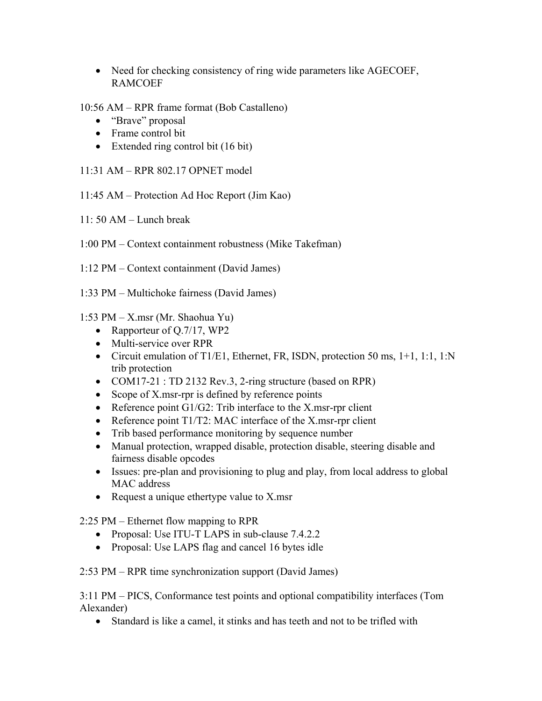- Need for checking consistency of ring wide parameters like AGECOEF, RAMCOEF
- 10:56 AM RPR frame format (Bob Castalleno)
	- "Brave" proposal
	- Frame control bit
	- Extended ring control bit (16 bit)
- $11:31$  AM RPR 802.17 OPNET model
- $11:45$  AM Protection Ad Hoc Report (Jim Kao)
- $11: 50 AM$  Lunch break
- 1:00 PM Context containment robustness (Mike Takefman)
- $1:12 \text{ PM} \text{Context containment (David James)}$
- 1:33 PM Multichoke fairness (David James)

1:53 PM  $-$  X.msr (Mr. Shaohua Yu)

- Rapporteur of Q.7/17, WP2
- Multi-service over RPR
- Circuit emulation of T1/E1, Ethernet, FR, ISDN, protection 50 ms, 1+1, 1:1, 1:N trib protection
- COM17-21 : TD 2132 Rev.3, 2-ring structure (based on RPR)
- Scope of X.msr-rpr is defined by reference points
- Reference point G1/G2: Trib interface to the X.msr-rpr client
- Reference point T1/T2: MAC interface of the X.msr-rpr client
- Trib based performance monitoring by sequence number
- Manual protection, wrapped disable, protection disable, steering disable and fairness disable opcodes
- Issues: pre-plan and provisioning to plug and play, from local address to global MAC address
- Request a unique ethertype value to X msr

 $2:25$  PM – Ethernet flow mapping to RPR

- Proposal: Use ITU-T LAPS in sub-clause 7.4.2.2
- Proposal: Use LAPS flag and cancel 16 bytes idle

 $2:53 \text{ PM} - \text{RPR}$  time synchronization support (David James)

3:11 PM – PICS, Conformance test points and optional compatibility interfaces (Tom Alexander)

• Standard is like a camel, it stinks and has teeth and not to be trifled with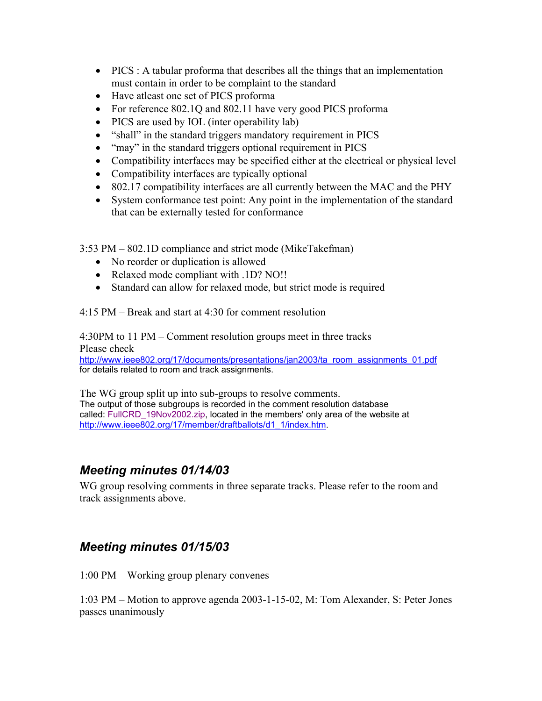- PICS : A tabular proforma that describes all the things that an implementation must contain in order to be complaint to the standard
- Have atleast one set of PICS proforma
- For reference 802.10 and 802.11 have very good PICS proforma
- PICS are used by IOL (inter operability lab)
- "shall" in the standard triggers mandatory requirement in PICS
- "may" in the standard triggers optional requirement in PICS
- Compatibility interfaces may be specified either at the electrical or physical level
- Compatibility interfaces are typically optional
- 802.17 compatibility interfaces are all currently between the MAC and the PHY
- System conformance test point: Any point in the implementation of the standard that can be externally tested for conformance

3:53 PM – 802.1D compliance and strict mode (MikeTakefman)

- No reorder or duplication is allowed
- Relaxed mode compliant with .1D? NO!!
- Standard can allow for relaxed mode, but strict mode is required

 $4:15 \text{ PM}$  – Break and start at  $4:30$  for comment resolution

 $4:30PM$  to 11 PM – Comment resolution groups meet in three tracks Please check

http://www.ieee802.org/17/documents/presentations/jan2003/ta\_room\_assignments\_01.pdf for details related to room and track assignments.

The WG group split up into sub-groups to resolve comments. The output of those subgroups is recorded in the comment resolution database called: FullCRD 19Nov2002.zip, located in the members' only area of the website at http://www.ieee802.org/17/member/draftballots/d1\_1/index.htm.

#### *Meeting minutes 01/14/03*

WG group resolving comments in three separate tracks. Please refer to the room and track assignments above.

#### *Meeting minutes 01/15/03*

 $1:00 \text{ PM} - \text{Working group}$  plenary convenes

 $1:03 \text{ PM}$  – Motion to approve agenda 2003-1-15-02, M: Tom Alexander, S: Peter Jones passes unanimously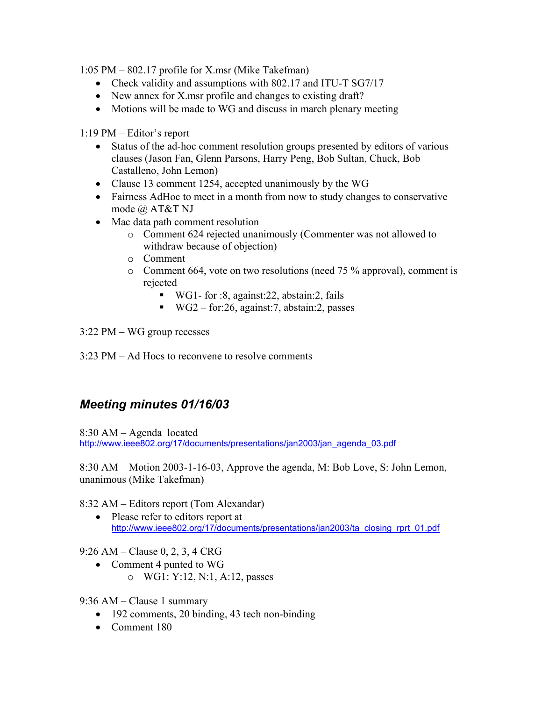$1:05 \text{ PM} - 802.17 \text{ profile for X.msr (Mike Taken)}$ 

- Check validity and assumptions with 802.17 and ITU-T SG7/17
- New annex for X, msr profile and changes to existing draft?
- Motions will be made to WG and discuss in march plenary meeting

 $1:19 \text{ PM} -$ Editor's report

- Status of the ad-hoc comment resolution groups presented by editors of various clauses (Jason Fan, Glenn Parsons, Harry Peng, Bob Sultan, Chuck, Bob Castalleno, John Lemon)
- Clause 13 comment 1254, accepted unanimously by the WG
- Fairness AdHoc to meet in a month from now to study changes to conservative mode @ AT&T NJ
- Mac data path comment resolution
	- o Comment 624 rejected unanimously (Commenter was not allowed to withdraw because of objection)
	- o Comment
	- o Comment 664, vote on two resolutions (need 75 % approval), comment is rejected
		- WG1- for :8, against: 22, abstain: 2, fails
		- $\blacksquare$  WG2 for:26, against:7, abstain:2, passes
- $3:22$  PM WG group recesses
- $3:23 \text{ PM} \text{Ad}$  Hocs to reconvene to resolve comments

### *Meeting minutes 01/16/03*

 $8:30$  AM  $-$  Agenda located http://www.ieee802.org/17/documents/presentations/jan2003/jan\_agenda\_03.pdf

 $8:30$  AM – Motion 2003-1-16-03, Approve the agenda, M: Bob Love, S: John Lemon, unanimous (Mike Takefman)

8:32 AM – Editors report (Tom Alexandar)

• Please refer to editors report at http://www.ieee802.org/17/documents/presentations/jan2003/ta\_closing\_rprt\_01.pdf

 $9:26$  AM  $-$  Clause 0, 2, 3, 4 CRG

• Comment 4 punted to WG o WG1: Y:12, N:1, A:12, passes

9:36 AM  $-$  Clause 1 summary

- 192 comments, 20 binding, 43 tech non-binding
- Comment 180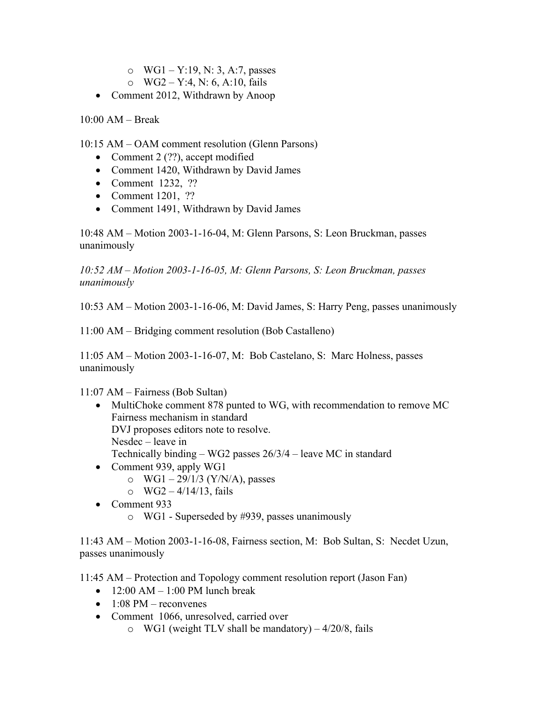- o  $WG1 Y:19, N: 3, A:7, passes$
- o  $WG2 Y:4, N: 6, A:10, fails$
- Comment 2012, Withdrawn by Anoop

 $10:00$  AM – Break

 $10:15$  AM – OAM comment resolution (Glenn Parsons)

- Comment 2 (??), accept modified
- Comment 1420, Withdrawn by David James
- Comment 1232, ??
- Comment 1201, ??
- Comment 1491, Withdrawn by David James

10:48 AM – Motion 2003-1-16-04, M: Glenn Parsons, S: Leon Bruckman, passes unanimously

*10:52 AM – Motion 2003-1-16-05, M: Glenn Parsons, S: Leon Bruckman, passes unanimously* 

10:53 AM  $-$  Motion 2003-1-16-06, M: David James, S: Harry Peng, passes unanimously

 $11:00$  AM – Bridging comment resolution (Bob Castalleno)

 $11:05$  AM – Motion 2003-1-16-07, M: Bob Castelano, S: Marc Holness, passes unanimously

 $11:07$  AM – Fairness (Bob Sultan)

- MultiChoke comment 878 punted to WG, with recommendation to remove MC Fairness mechanism in standard DVJ proposes editors note to resolve.  $Nesdec - leave in$ Technically binding  $-$  WG2 passes  $26/3/4$  – leave MC in standard
- Comment 939, apply WG1
	- o WG1 29/1/3 (Y/N/A), passes
	- $\circ$  WG2 4/14/13, fails
- Comment 933
	- o WG1 Superseded by #939, passes unanimously

11:43 AM  $-$  Motion 2003-1-16-08, Fairness section, M: Bob Sultan, S: Necdet Uzun, passes unanimously

11:45 AM – Protection and Topology comment resolution report (Jason Fan)

- $12:00$  AM  $1:00$  PM lunch break
- $\bullet$  1:08 PM reconvenes
- Comment 1066, unresolved, carried over
	- $\circ$  WG1 (weight TLV shall be mandatory) 4/20/8, fails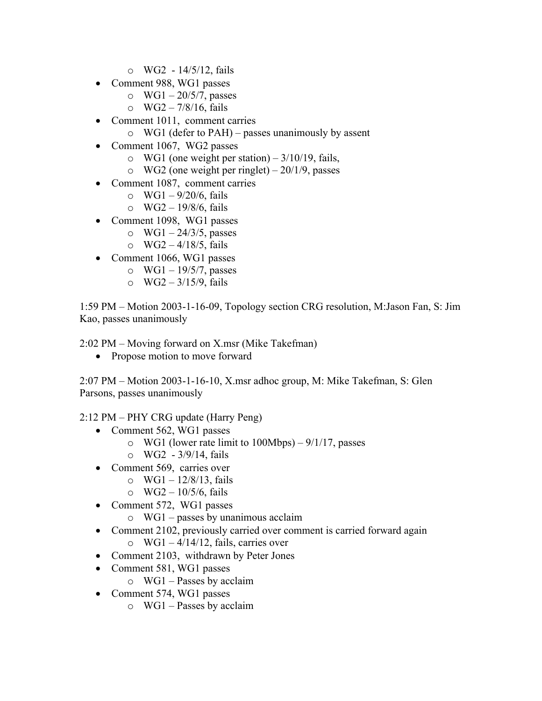- $\circ$  WG2 14/5/12, fails
- Comment 988, WG1 passes
	- o WG1  $-$  20/5/7, passes
	- $\circ$  WG2 7/8/16, fails
- Comment 1011, comment carries
	- $\circ$  WG1 (defer to PAH) passes unanimously by assent
- Comment 1067, WG2 passes
	- o WG1 (one weight per station)  $-3/10/19$ , fails,
	- o WG2 (one weight per ringlet)  $-20/1/9$ , passes
- Comment 1087, comment carries
	- o WG1  $-9/20/6$ , fails
	- o  $WG2 19/8/6$ , fails
- Comment 1098, WG1 passes
	- o WG1  $-$  24/3/5, passes
	- $\circ$  WG2 4/18/5, fails
- Comment 1066, WG1 passes
	- o WG1  $19/5/7$ , passes
	- o  $WG2 3/15/9$ , fails

1:59 PM – Motion 2003-1-16-09, Topology section CRG resolution, M:Jason Fan, S: Jim Kao, passes unanimously

 $2:02 \text{ PM} - \text{Moving forward on X.msr (Mike Taken)}$ 

• Propose motion to move forward

 $2:07 \text{ PM} - \text{Motion } 2003-1-16-10, \text{ X}$ .msr adhoc group, M: Mike Takefman, S: Glen Parsons, passes unanimously

 $2:12 \text{ PM} - \text{PHY CRG}$  update (Harry Peng)

- Comment 562, WG1 passes
	- o WG1 (lower rate limit to  $100Mbps$ ) 9/1/17, passes
	- $\circ$  WG2 3/9/14, fails
- Comment 569, carries over
	- o WG1  $12/8/13$ , fails
	- o  $WG2 10/5/6$ , fails
- Comment 572, WG1 passes
	- $\circ$  WG1 passes by unanimous acclaim
- Comment 2102, previously carried over comment is carried forward again  $\circ$  WG1 – 4/14/12, fails, carries over
- Comment 2103, withdrawn by Peter Jones
- Comment 581, WG1 passes
	- $\circ$  WG1 Passes by acclaim
- Comment 574, WG1 passes
	- $\circ$  WG1 Passes by acclaim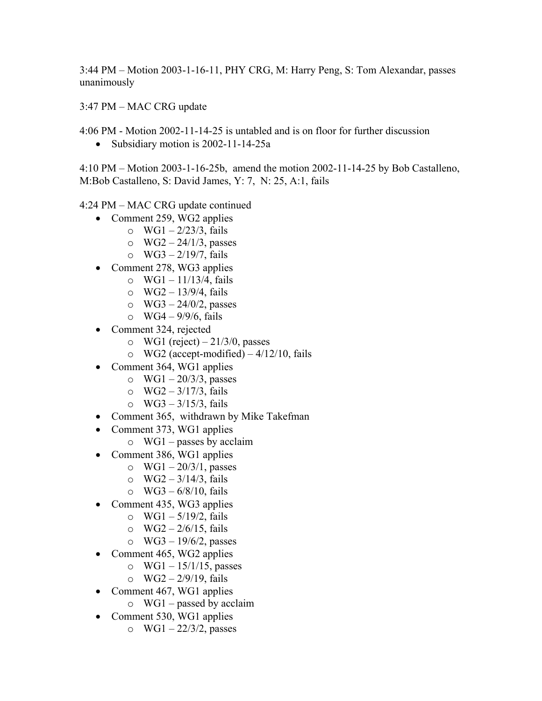3:44 PM – Motion 2003-1-16-11, PHY CRG, M: Harry Peng, S: Tom Alexandar, passes unanimously

 $3:47$  PM  $-$  MAC CRG update

4:06 PM - Motion 2002-11-14-25 is untabled and is on floor for further discussion

• Subsidiary motion is 2002-11-14-25a

 $4:10 \text{ PM} - \text{Motion } 2003-1-16-25b$ , amend the motion 2002-11-14-25 by Bob Castalleno, M:Bob Castalleno, S: David James, Y: 7, N: 25, A:1, fails

 $4:24 \text{ PM} - \text{MAC} \text{ CRG}$  update continued

- Comment 259, WG2 applies
	- o  $WG1 2/23/3$ , fails
	- o  $WG2 24/1/3$ , passes
	- o  $WG3 2/19/7$ , fails
- Comment 278, WG3 applies
	- o  $WG1 11/13/4$ , fails
	- o  $WG2 13/9/4$ , fails
	- o  $WG3 24/0/2$ , passes
	- $\circ$  WG4 9/9/6, fails
- Comment 324, rejected
	- o WG1 (reject)  $-21/3/0$ , passes
	- $\circ$  WG2 (accept-modified) 4/12/10, fails
- Comment 364, WG1 applies
	- o WG1  $-$  20/3/3, passes
	- o  $WG2 3/17/3$ , fails
	- o  $WG3 3/15/3$ , fails
- Comment 365, withdrawn by Mike Takefman
- Comment 373, WG1 applies
	- $\circ$  WG1 passes by acclaim
- Comment 386, WG1 applies
	- o WG1  $-20/3/1$ , passes
	- o  $WG2 3/14/3$ , fails
	- $\circ$  WG3 6/8/10, fails
- Comment 435, WG3 applies
	- $\circ$  WG1 5/19/2, fails
	- o  $WG2 2/6/15$ , fails
	- o  $WG3 19/6/2$ , passes
- Comment 465, WG2 applies
	- o  $WG1 15/1/15$ , passes
	- o  $WG2 \frac{2}{9}/19$ , fails
- Comment 467, WG1 applies
	- $\circ$  WG1 passed by acclaim
- Comment 530, WG1 applies
	- o WG1  $-$  22/3/2, passes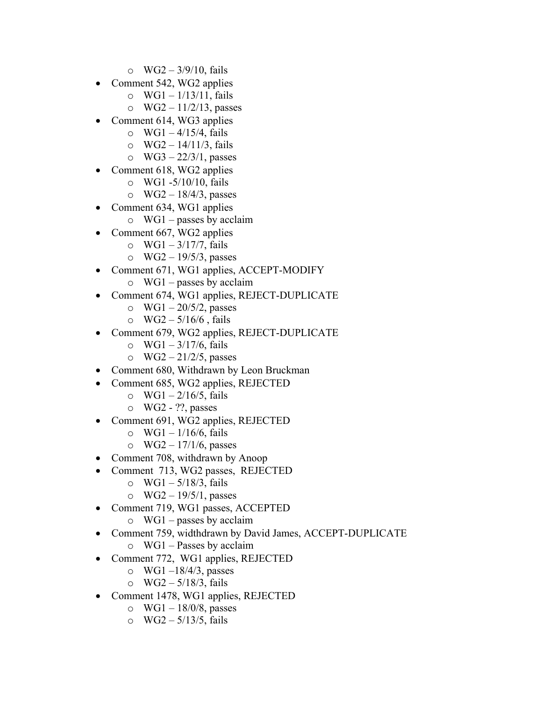- o  $WG2 3/9/10$ , fails
- Comment 542, WG2 applies
	- o  $WG1 1/13/11$ , fails
	- o  $WG2 11/2/13$ , passes
- Comment 614, WG3 applies
	- $\circ$  WG1 4/15/4, fails
	- o  $WG2 14/11/3$ , fails
	- o WG3  $-$  22/3/1, passes
- Comment 618, WG2 applies
	- $\circ$  WG1 -5/10/10, fails
	- $\circ$  WG2 18/4/3, passes
- Comment 634, WG1 applies
	- $\circ$  WG1 passes by acclaim
- Comment 667, WG2 applies
	- o  $WG1 3/17/7$ , fails
	- o  $WG2 19/5/3$ , passes
- Comment 671, WG1 applies, ACCEPT-MODIFY
	- $\circ$  WG1 passes by acclaim
- Comment 674, WG1 applies, REJECT-DUPLICATE
	- o WG1  $-$  20/5/2, passes
	- o  $WG2 5/16/6$ , fails
- Comment 679, WG2 applies, REJECT-DUPLICATE
	- o  $WG1 \frac{3}{17/6}$ , fails
	- o WG2  $-$  21/2/5, passes
- Comment 680, Withdrawn by Leon Bruckman
- Comment 685, WG2 applies, REJECTED
	- o WG1  $-2/16/5$ , fails
	- o WG2 ??, passes
- Comment 691, WG2 applies, REJECTED
	- o  $WG1 1/16/6$ , fails
	- $\circ$  WG2 17/1/6, passes
- Comment 708, withdrawn by Anoop
- Comment 713, WG2 passes, REJECTED
	- o  $WG1 5/18/3$ , fails
	- o  $WG2 19/5/1$ , passes
- Comment 719, WG1 passes, ACCEPTED
	- $\circ$  WG1 passes by acclaim
- Comment 759, widthdrawn by David James, ACCEPT-DUPLICATE
	- $\circ$  WG1 Passes by acclaim
- Comment 772, WG1 applies, REJECTED
	- o WG1 $-18/4/3$ , passes
	- o  $WG2 5/18/3$ , fails
- Comment 1478, WG1 applies, REJECTED
	- $\circ$  WG1 18/0/8, passes
	- o WG2  $-5/13/5$ , fails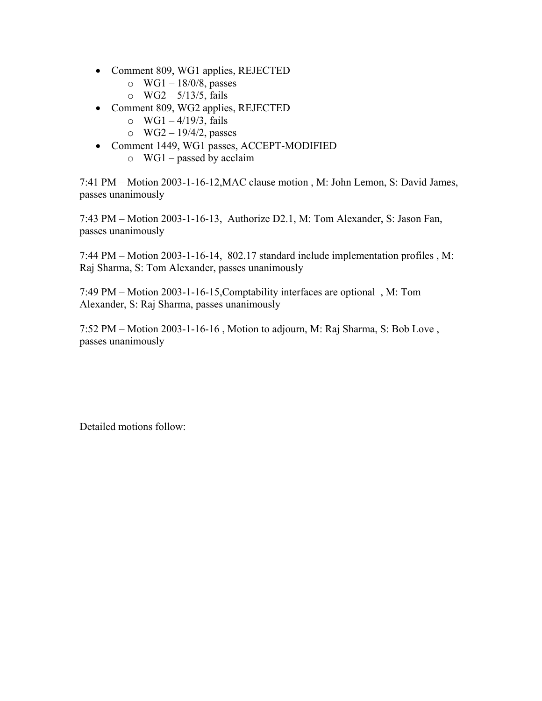- Comment 809, WG1 applies, REJECTED
	- $\circ$  WG1 18/0/8, passes
	- o  $WG2 5/13/5$ , fails
- Comment 809, WG2 applies, REJECTED
	- o  $WG1 4/19/3$ , fails
	- o  $WG2 19/4/2$ , passes
- Comment 1449, WG1 passes, ACCEPT-MODIFIED
	- $\circ$  WG1 passed by acclaim

7:41 PM – Motion 2003-1-16-12, MAC clause motion, M: John Lemon, S: David James, passes unanimously

7:43 PM – Motion 2003-1-16-13, Authorize D2.1, M: Tom Alexander, S: Jason Fan, passes unanimously

7:44 PM  $-$  Motion 2003-1-16-14, 802.17 standard include implementation profiles , M: Raj Sharma, S: Tom Alexander, passes unanimously

7:49 PM – Motion 2003-1-16-15, Comptability interfaces are optional, M: Tom Alexander, S: Raj Sharma, passes unanimously

 $7:52 \text{ PM} - \text{Motion } 2003-1-16-16$ , Motion to adjourn, M: Raj Sharma, S: Bob Love, passes unanimously

Detailed motions follow: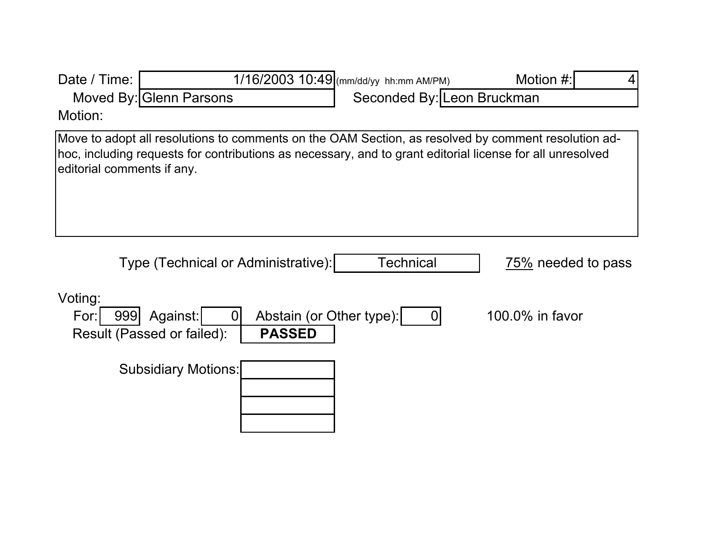| Date / Time:               |                                                                                                                                                                                                                  | 1/16/2003 10:49 (mm/dd/yy hh:mm AM/PM) | Motion #:          |
|----------------------------|------------------------------------------------------------------------------------------------------------------------------------------------------------------------------------------------------------------|----------------------------------------|--------------------|
|                            | Moved By: Glenn Parsons                                                                                                                                                                                          | Seconded By: Leon Bruckman             |                    |
| Motion:                    |                                                                                                                                                                                                                  |                                        |                    |
| editorial comments if any. | Move to adopt all resolutions to comments on the OAM Section, as resolved by comment resolution ad-<br>hoc, including requests for contributions as necessary, and to grant editorial license for all unresolved |                                        |                    |
|                            | Type (Technical or Administrative):                                                                                                                                                                              | Technical                              | 75% needed to pass |
| Voting:<br>For:<br>999     | Abstain (or Other type):<br>Against:<br>$\Omega$<br>Result (Passed or failed):<br><b>PASSED</b>                                                                                                                  | $\overline{0}$                         | 100.0% in favor    |
|                            | <b>Subsidiary Motions:</b>                                                                                                                                                                                       |                                        |                    |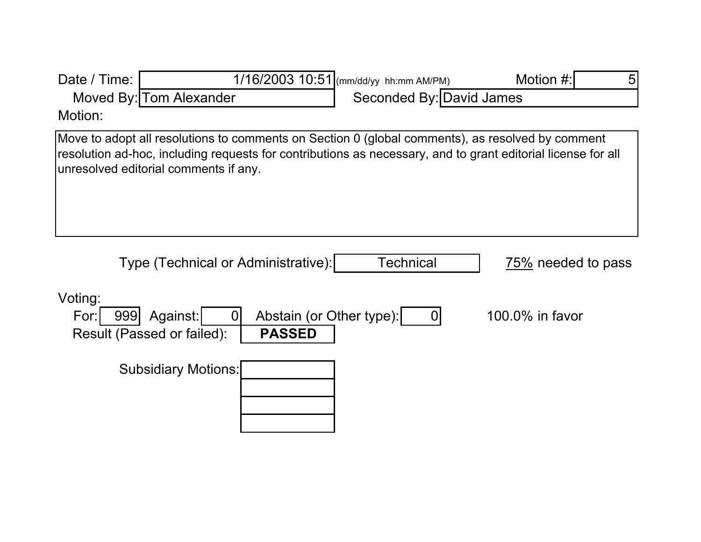| Date / Time:           |                                                                                                                                                                                                                                                           | 1/16/2003 10:51 (mm/dd/yy hh:mm AM/PM) | Motion #:<br>5     |
|------------------------|-----------------------------------------------------------------------------------------------------------------------------------------------------------------------------------------------------------------------------------------------------------|----------------------------------------|--------------------|
|                        | Moved By: Tom Alexander                                                                                                                                                                                                                                   | Seconded By: David James               |                    |
| Motion:                |                                                                                                                                                                                                                                                           |                                        |                    |
|                        | Move to adopt all resolutions to comments on Section 0 (global comments), as resolved by comment<br>resolution ad-hoc, including requests for contributions as necessary, and to grant editorial license for all<br>unresolved editorial comments if any. |                                        |                    |
|                        | Type (Technical or Administrative):                                                                                                                                                                                                                       | Technical                              | 75% needed to pass |
| Voting:<br>999<br>For: | Abstain (or Other type):<br>Against:<br>0<br>Result (Passed or failed):<br><b>PASSED</b>                                                                                                                                                                  | 0                                      | 100.0% in favor    |
|                        | <b>Subsidiary Motions:</b>                                                                                                                                                                                                                                |                                        |                    |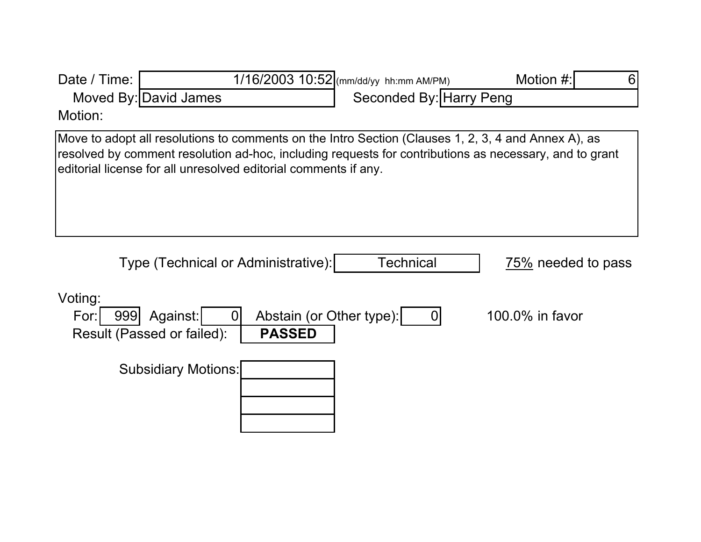| Date / Time:           |                                                                                                                                                                                                                                                                                  | 1/16/2003 10:52 (mm/dd/yy hh:mm AM/PM) | Motion #:<br>6     |
|------------------------|----------------------------------------------------------------------------------------------------------------------------------------------------------------------------------------------------------------------------------------------------------------------------------|----------------------------------------|--------------------|
|                        | Moved By: David James                                                                                                                                                                                                                                                            | Seconded By: Harry Peng                |                    |
| Motion:                |                                                                                                                                                                                                                                                                                  |                                        |                    |
|                        | Move to adopt all resolutions to comments on the Intro Section (Clauses 1, 2, 3, 4 and Annex A), as<br>resolved by comment resolution ad-hoc, including requests for contributions as necessary, and to grant<br>editorial license for all unresolved editorial comments if any. |                                        |                    |
|                        | Type (Technical or Administrative):                                                                                                                                                                                                                                              | Technical                              | 75% needed to pass |
| Voting:<br>999<br>For: | Abstain (or Other type):<br>Against:<br>0<br>Result (Passed or failed):<br><b>PASSED</b>                                                                                                                                                                                         | $\overline{0}$                         | 100.0% in favor    |
|                        | <b>Subsidiary Motions:</b>                                                                                                                                                                                                                                                       |                                        |                    |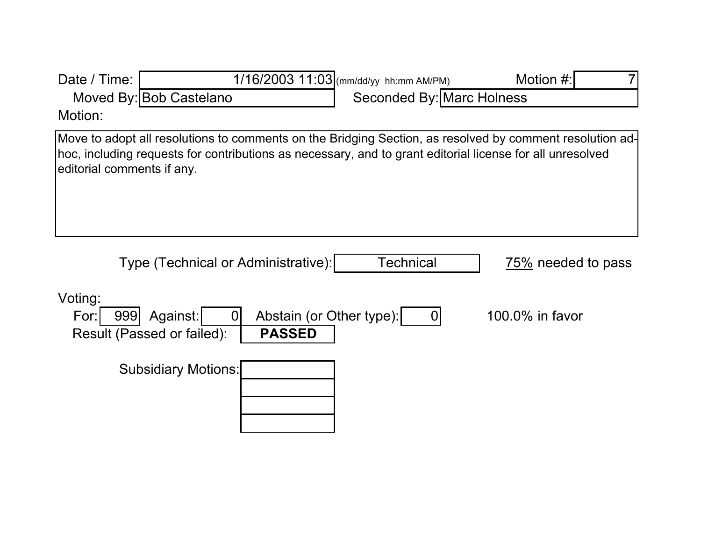| Date / Time:               |                                                                                                                                                                                                                       | 1/16/2003 11:03 (mm/dd/yy hh:mm AM/PM) | Motion #:          |
|----------------------------|-----------------------------------------------------------------------------------------------------------------------------------------------------------------------------------------------------------------------|----------------------------------------|--------------------|
|                            | Moved By: Bob Castelano                                                                                                                                                                                               | <b>Seconded By: Marc Holness</b>       |                    |
| Motion:                    |                                                                                                                                                                                                                       |                                        |                    |
| editorial comments if any. | Move to adopt all resolutions to comments on the Bridging Section, as resolved by comment resolution ad-<br>hoc, including requests for contributions as necessary, and to grant editorial license for all unresolved |                                        |                    |
|                            | Type (Technical or Administrative):                                                                                                                                                                                   | Technical                              | 75% needed to pass |
| Voting:<br>For:<br>999     | Abstain (or Other type):<br>Against:<br>0<br>Result (Passed or failed):<br><b>PASSED</b>                                                                                                                              | 0                                      | 100.0% in favor    |
|                            | <b>Subsidiary Motions:</b>                                                                                                                                                                                            |                                        |                    |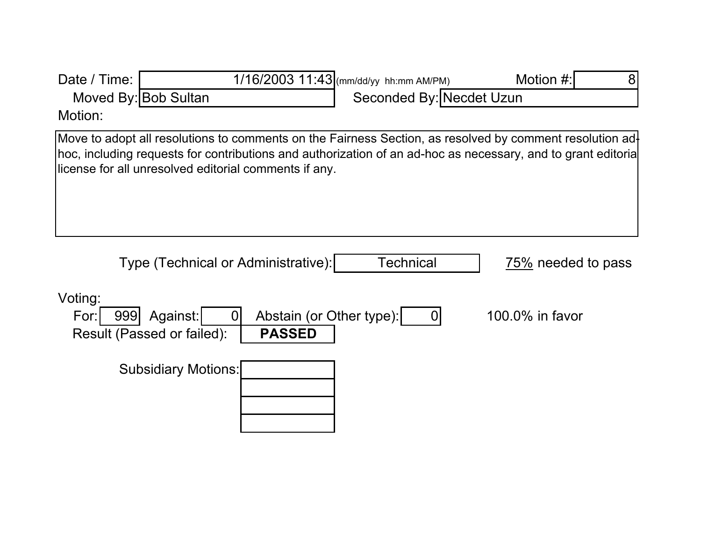| Date / Time:           |                                                                                                                                                                                                                                                                                  | 1/16/2003 11:43 (mm/dd/yy hh:mm AM/PM) | Motion #:<br>8     |
|------------------------|----------------------------------------------------------------------------------------------------------------------------------------------------------------------------------------------------------------------------------------------------------------------------------|----------------------------------------|--------------------|
|                        | Moved By: Bob Sultan                                                                                                                                                                                                                                                             | Seconded By: Necdet Uzun               |                    |
| Motion:                |                                                                                                                                                                                                                                                                                  |                                        |                    |
|                        | Move to adopt all resolutions to comments on the Fairness Section, as resolved by comment resolution ad<br>hoc, including requests for contributions and authorization of an ad-hoc as necessary, and to grant editoria<br>license for all unresolved editorial comments if any. |                                        |                    |
|                        | Type (Technical or Administrative):                                                                                                                                                                                                                                              | Technical                              | 75% needed to pass |
| Voting:<br>999<br>For: | Abstain (or Other type):<br>Against:<br>$\Omega$<br>Result (Passed or failed):<br><b>PASSED</b>                                                                                                                                                                                  | 0                                      | 100.0% in favor    |
|                        | <b>Subsidiary Motions:</b>                                                                                                                                                                                                                                                       |                                        |                    |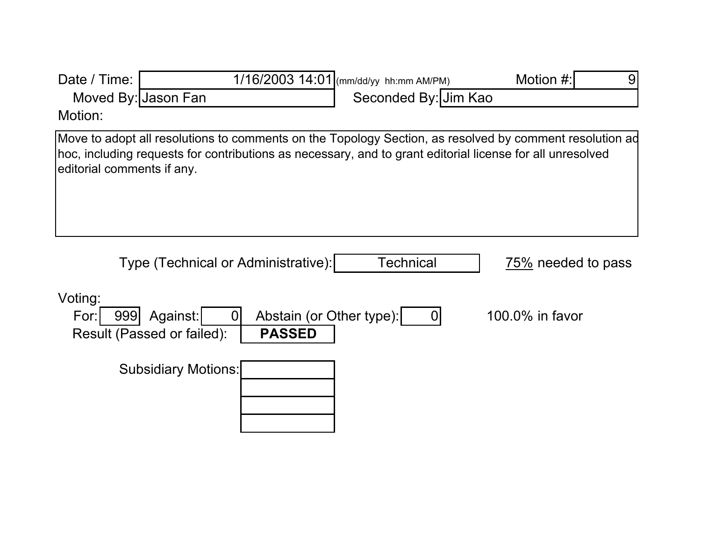| Date / Time:               |                                                                                                                                                                                                                      | 1/16/2003 14:01 (mm/dd/yy hh:mm AM/PM) | Motion #:<br>9     |
|----------------------------|----------------------------------------------------------------------------------------------------------------------------------------------------------------------------------------------------------------------|----------------------------------------|--------------------|
| Moved By: Jason Fan        |                                                                                                                                                                                                                      | Seconded By: Jim Kao                   |                    |
| Motion:                    |                                                                                                                                                                                                                      |                                        |                    |
| editorial comments if any. | Move to adopt all resolutions to comments on the Topology Section, as resolved by comment resolution ad<br>hoc, including requests for contributions as necessary, and to grant editorial license for all unresolved |                                        |                    |
|                            | Type (Technical or Administrative):                                                                                                                                                                                  | <b>Technical</b>                       | 75% needed to pass |
| Voting:                    |                                                                                                                                                                                                                      |                                        |                    |
| For:<br>999                | Abstain (or Other type):<br>Against:<br>0<br>Result (Passed or failed):<br><b>PASSED</b>                                                                                                                             | $\overline{0}$                         | 100.0% in favor    |
|                            | <b>Subsidiary Motions:</b>                                                                                                                                                                                           |                                        |                    |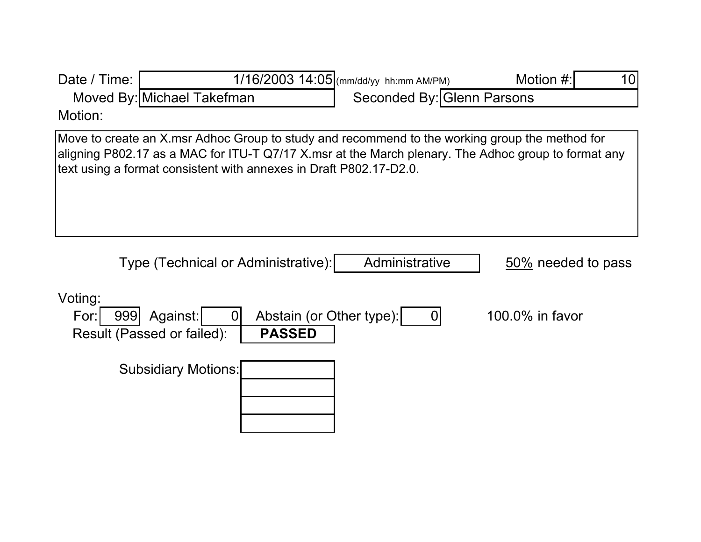| Date / Time:           |                                                                                                                                                                                                                                                                             | 1/16/2003 14:05 (mm/dd/yy hh:mm AM/PM) | Motion #:<br>10    |
|------------------------|-----------------------------------------------------------------------------------------------------------------------------------------------------------------------------------------------------------------------------------------------------------------------------|----------------------------------------|--------------------|
|                        | Moved By: Michael Takefman                                                                                                                                                                                                                                                  | Seconded By: Glenn Parsons             |                    |
| Motion:                |                                                                                                                                                                                                                                                                             |                                        |                    |
|                        | Move to create an X.msr Adhoc Group to study and recommend to the working group the method for<br>aligning P802.17 as a MAC for ITU-T Q7/17 X msr at the March plenary. The Adhoc group to format any<br>text using a format consistent with annexes in Draft P802.17-D2.0. |                                        |                    |
|                        | Type (Technical or Administrative):                                                                                                                                                                                                                                         | Administrative                         | 50% needed to pass |
| Voting:<br>999<br>For: | Abstain (or Other type):<br>Against:<br>0<br>Result (Passed or failed):<br><b>PASSED</b>                                                                                                                                                                                    | 0                                      | 100.0% in favor    |
|                        | <b>Subsidiary Motions:</b>                                                                                                                                                                                                                                                  |                                        |                    |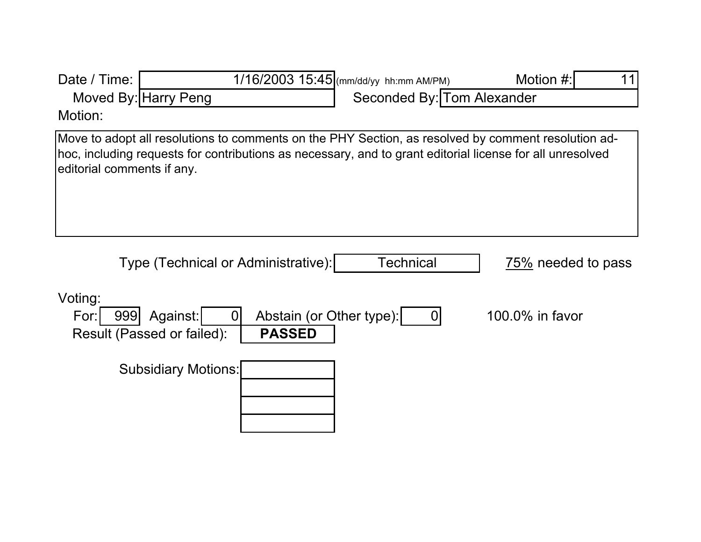| Date / Time:<br>Motion:    | Moved By: Harry Peng                                     |                                           | 1/16/2003 15:45 (mm/dd/yy hh:mm AM/PM)<br>Seconded By: Tom Alexander                                      | Motion #:<br>11                                                                                     |
|----------------------------|----------------------------------------------------------|-------------------------------------------|-----------------------------------------------------------------------------------------------------------|-----------------------------------------------------------------------------------------------------|
| editorial comments if any. |                                                          |                                           | hoc, including requests for contributions as necessary, and to grant editorial license for all unresolved | Move to adopt all resolutions to comments on the PHY Section, as resolved by comment resolution ad- |
|                            | Type (Technical or Administrative):                      |                                           | Technical                                                                                                 | 75% needed to pass                                                                                  |
| Voting:<br>For:<br>999     | Against:<br>$\overline{0}$<br>Result (Passed or failed): | Abstain (or Other type):<br><b>PASSED</b> | $\mathbf 0$                                                                                               | 100.0% in favor                                                                                     |
|                            | <b>Subsidiary Motions:</b>                               |                                           |                                                                                                           |                                                                                                     |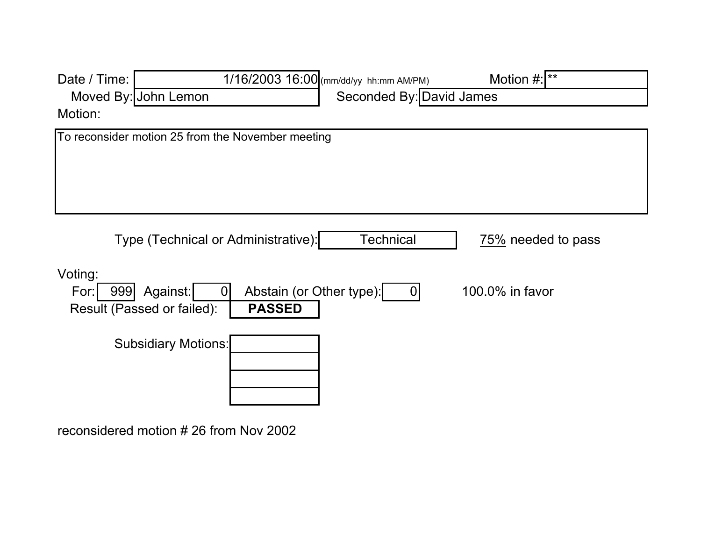| Date / Time:           | 1/16/2003 16:00 (mm/dd/yy hh:mm AM/PM)                                              | Motion $\#$ : **         |
|------------------------|-------------------------------------------------------------------------------------|--------------------------|
|                        | Moved By: John Lemon                                                                | Seconded By: David James |
| Motion:                |                                                                                     |                          |
|                        | To reconsider motion 25 from the November meeting                                   |                          |
|                        | Type (Technical or Administrative):<br><b>Technical</b>                             | 75% needed to pass       |
| Voting:<br>999<br>For: | Abstain (or Other type):<br>Against:<br><b>PASSED</b><br>Result (Passed or failed): | $100.0\%$ in favor<br>0  |
|                        | <b>Subsidiary Motions:</b>                                                          |                          |

reconsidered motion # 26 from Nov 2002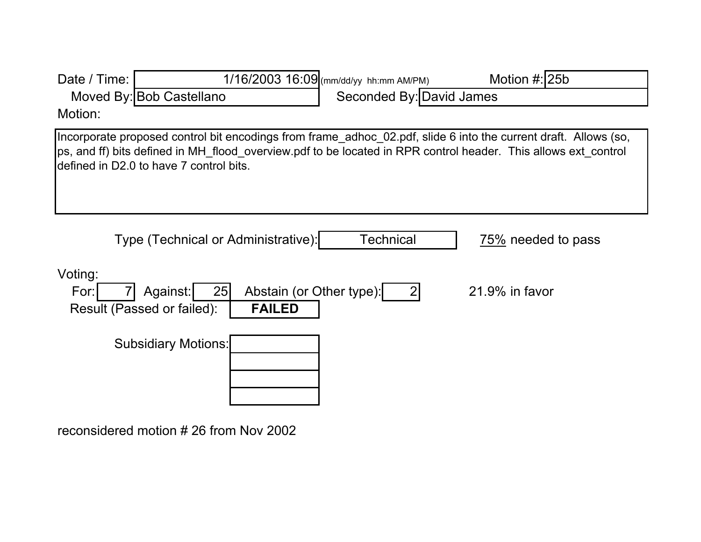| Date / Time:    |                                                                                                                                                                                                                                                                              | 1/16/2003 16:09 (mm/dd/yy hh:mm AM/PM) | Motion #: 25b      |
|-----------------|------------------------------------------------------------------------------------------------------------------------------------------------------------------------------------------------------------------------------------------------------------------------------|----------------------------------------|--------------------|
|                 | Moved By: Bob Castellano                                                                                                                                                                                                                                                     | Seconded By: David James               |                    |
| Motion:         |                                                                                                                                                                                                                                                                              |                                        |                    |
|                 | Incorporate proposed control bit encodings from frame adhoc 02.pdf, slide 6 into the current draft. Allows (so,<br>ps, and ff) bits defined in MH_flood_overview.pdf to be located in RPR control header. This allows ext_control<br>defined in D2.0 to have 7 control bits. |                                        |                    |
|                 | Type (Technical or Administrative):                                                                                                                                                                                                                                          | <b>Technical</b>                       | 75% needed to pass |
| Voting:<br>For: | 25<br>Against:<br>Abstain (or Other type):<br><b>FAILED</b><br>Result (Passed or failed):                                                                                                                                                                                    | $\overline{2}$                         | $21.9\%$ in favor  |
|                 | <b>Subsidiary Motions:</b>                                                                                                                                                                                                                                                   |                                        |                    |

reconsidered motion # 26 from Nov 2002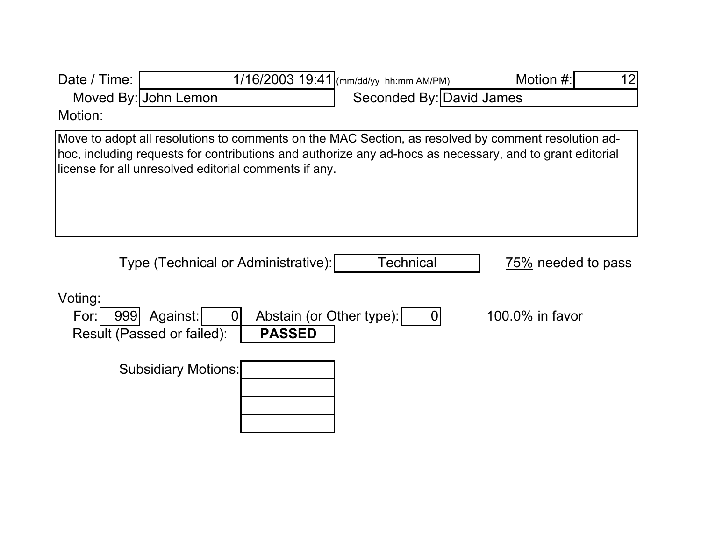| Date / Time:           |                                                                                                                                                                                                                                                                          | 1/16/2003 19:41 (mm/dd/yy hh:mm AM/PM)     | Motion #:          | 12 |
|------------------------|--------------------------------------------------------------------------------------------------------------------------------------------------------------------------------------------------------------------------------------------------------------------------|--------------------------------------------|--------------------|----|
|                        | Moved By: John Lemon                                                                                                                                                                                                                                                     | Seconded By: David James                   |                    |    |
| Motion:                |                                                                                                                                                                                                                                                                          |                                            |                    |    |
|                        | Move to adopt all resolutions to comments on the MAC Section, as resolved by comment resolution ad-<br>hoc, including requests for contributions and authorize any ad-hocs as necessary, and to grant editorial<br>license for all unresolved editorial comments if any. |                                            |                    |    |
|                        | Type (Technical or Administrative):                                                                                                                                                                                                                                      | <b>Technical</b>                           | 75% needed to pass |    |
| Voting:<br>For:<br>999 | Against:<br>$\Omega$<br>Result (Passed or failed):<br><b>PASSED</b>                                                                                                                                                                                                      | Abstain (or Other type):<br>$\overline{0}$ | 100.0% in favor    |    |
|                        | <b>Subsidiary Motions:</b>                                                                                                                                                                                                                                               |                                            |                    |    |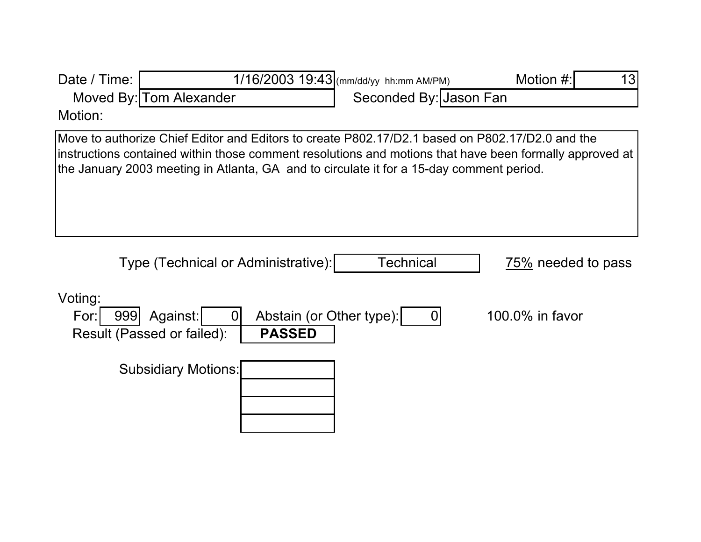| Date / Time:           |                                                                                                                                                                                                                                                                                                        | 1/16/2003 19:43 (mm/dd/yy hh:mm AM/PM) | 13<br>Motion #:    |
|------------------------|--------------------------------------------------------------------------------------------------------------------------------------------------------------------------------------------------------------------------------------------------------------------------------------------------------|----------------------------------------|--------------------|
|                        | Moved By: Tom Alexander                                                                                                                                                                                                                                                                                | Seconded By: Jason Fan                 |                    |
| Motion:                |                                                                                                                                                                                                                                                                                                        |                                        |                    |
|                        | Move to authorize Chief Editor and Editors to create P802.17/D2.1 based on P802.17/D2.0 and the<br>instructions contained within those comment resolutions and motions that have been formally approved at<br>the January 2003 meeting in Atlanta, GA and to circulate it for a 15-day comment period. |                                        |                    |
|                        | Type (Technical or Administrative):                                                                                                                                                                                                                                                                    | Technical                              | 75% needed to pass |
| Voting:<br>999<br>For: | Abstain (or Other type):<br>Against:<br>O<br>Result (Passed or failed):<br><b>PASSED</b>                                                                                                                                                                                                               | 0                                      | 100.0% in favor    |
|                        | <b>Subsidiary Motions:</b>                                                                                                                                                                                                                                                                             |                                        |                    |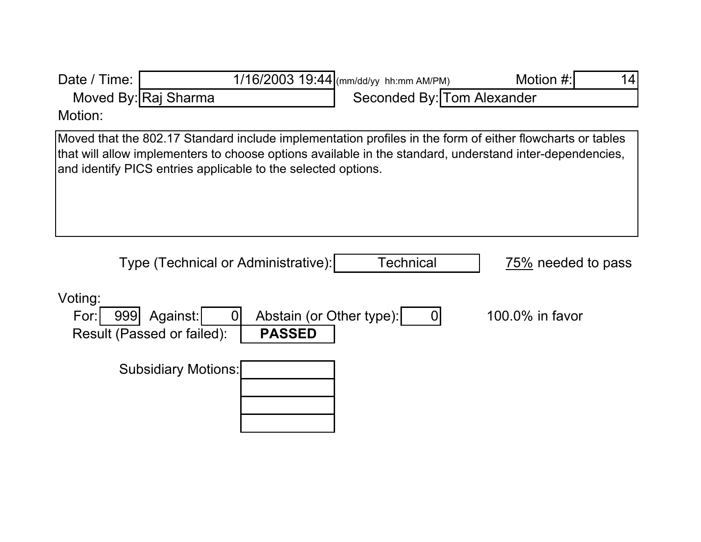| Date / Time:           |                                                                                                                                                                                                                                                                                        | 1/16/2003 19:44 (mm/dd/yy hh:mm AM/PM) | Motion #:<br>14    |
|------------------------|----------------------------------------------------------------------------------------------------------------------------------------------------------------------------------------------------------------------------------------------------------------------------------------|----------------------------------------|--------------------|
|                        | Moved By: Raj Sharma                                                                                                                                                                                                                                                                   | Seconded By: Tom Alexander             |                    |
| Motion:                |                                                                                                                                                                                                                                                                                        |                                        |                    |
|                        | Moved that the 802.17 Standard include implementation profiles in the form of either flowcharts or tables<br>that will allow implementers to choose options available in the standard, understand inter-dependencies,<br>and identify PICS entries applicable to the selected options. |                                        |                    |
|                        | Type (Technical or Administrative):                                                                                                                                                                                                                                                    | <b>Technical</b>                       | 75% needed to pass |
| Voting:<br>For:<br>999 | Abstain (or Other type):<br>Against:<br>$\Omega$<br>Result (Passed or failed):<br><b>PASSED</b>                                                                                                                                                                                        | $\overline{0}$                         | 100.0% in favor    |
|                        | <b>Subsidiary Motions:</b>                                                                                                                                                                                                                                                             |                                        |                    |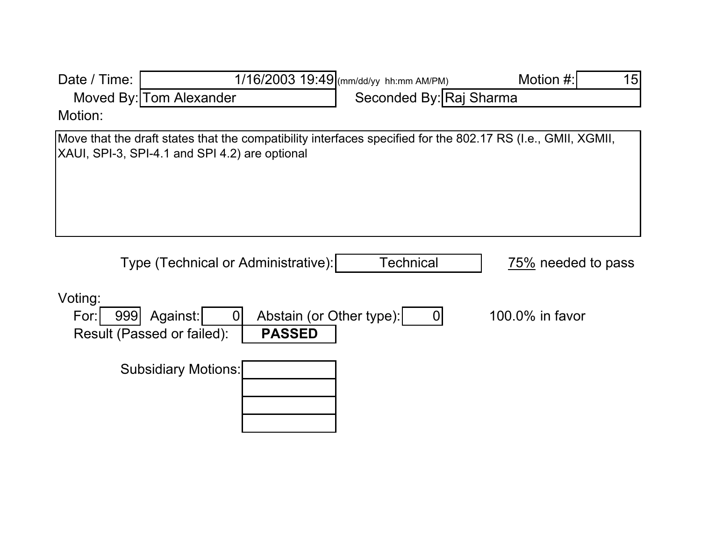| Date / Time:           |                                                |                                           | 1/16/2003 19:49 (mm/dd/yy hh:mm AM/PM) | Motion #:<br>15                                                                                              |
|------------------------|------------------------------------------------|-------------------------------------------|----------------------------------------|--------------------------------------------------------------------------------------------------------------|
|                        | Moved By: Tom Alexander                        |                                           | Seconded By: Raj Sharma                |                                                                                                              |
| Motion:                |                                                |                                           |                                        |                                                                                                              |
|                        | XAUI, SPI-3, SPI-4.1 and SPI 4.2) are optional |                                           |                                        | Move that the draft states that the compatibility interfaces specified for the 802.17 RS (I.e., GMII, XGMII, |
|                        | Type (Technical or Administrative):            |                                           | <b>Technical</b>                       | 75% needed to pass                                                                                           |
| Voting:<br>For:<br>999 | Against:<br>Result (Passed or failed):         | Abstain (or Other type):<br><b>PASSED</b> | $\mathbf 0$                            | 100.0% in favor                                                                                              |
|                        | <b>Subsidiary Motions:</b>                     |                                           |                                        |                                                                                                              |